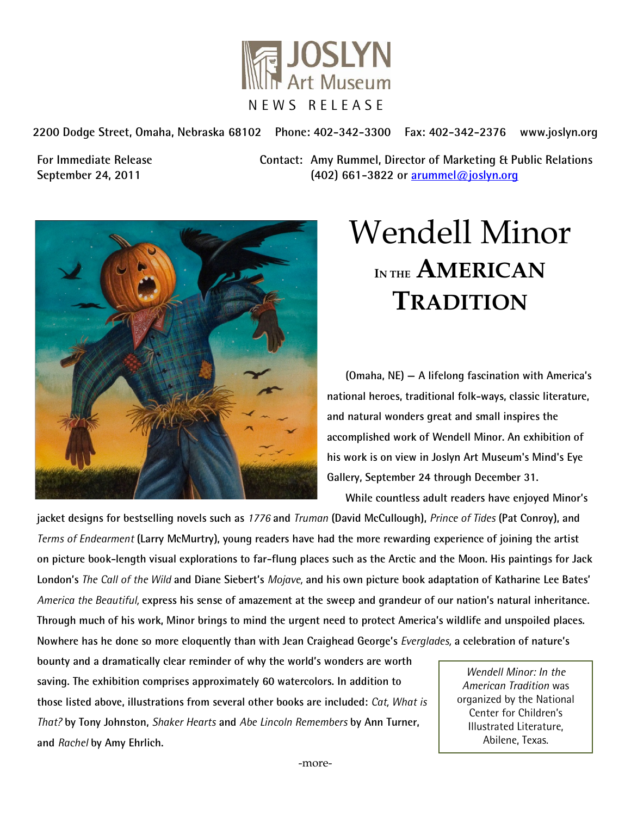

**2200 Dodge Street, Omaha, Nebraska 68102 Phone: 402-342-3300 Fax: 402-342-2376 www.joslyn.org**

**For Immediate Release Contact: Amy Rummel, Director of Marketing & Public Relations September 24, 2011 (402) 661-3822 or [arummel@joslyn.org](mailto:arummel@joslyn.org)**



# Wendell Minor **IN THE AMERICAN TRADITION**

**(Omaha, NE) — A lifelong fascination with America's national heroes, traditional folk-ways, classic literature, and natural wonders great and small inspires the accomplished work of Wendell Minor. An exhibition of his work is on view in Joslyn Art Museum's Mind's Eye Gallery, September 24 through December 31.**

**While countless adult readers have enjoyed Minor's** 

**jacket designs for bestselling novels such as** *1776* **and** *Truman* **(David McCullough),** *Prince of Tides* **(Pat Conroy), and**  *Terms of Endearment* **(Larry McMurtry), young readers have had the more rewarding experience of joining the artist on picture book-length visual explorations to far-flung places such as the Arctic and the Moon. His paintings for Jack London's** *The Call of the Wild* **and Diane Siebert's** *Mojave,* **and his own picture book adaptation of Katharine Lee Bates'**  *America the Beautiful,* **express his sense of amazement at the sweep and grandeur of our nation's natural inheritance. Through much of his work, Minor brings to mind the urgent need to protect America's wildlife and unspoiled places. Nowhere has he done so more eloquently than with Jean Craighead George's** *Everglades,* **a celebration of nature's** 

**bounty and a dramatically clear reminder of why the world's wonders are worth saving. The exhibition comprises approximately 60 watercolors. In addition to those listed above, illustrations from several other books are included:** *Cat, What is That?* **by Tony Johnston,** *Shaker Hearts* **and** *Abe Lincoln Remembers* **by Ann Turner, and** *Rachel* **by Amy Ehrlich.**

*Wendell Minor: In the American Tradition* was organized by the National Center for Children's Illustrated Literature, Abilene, Texas.

-more-